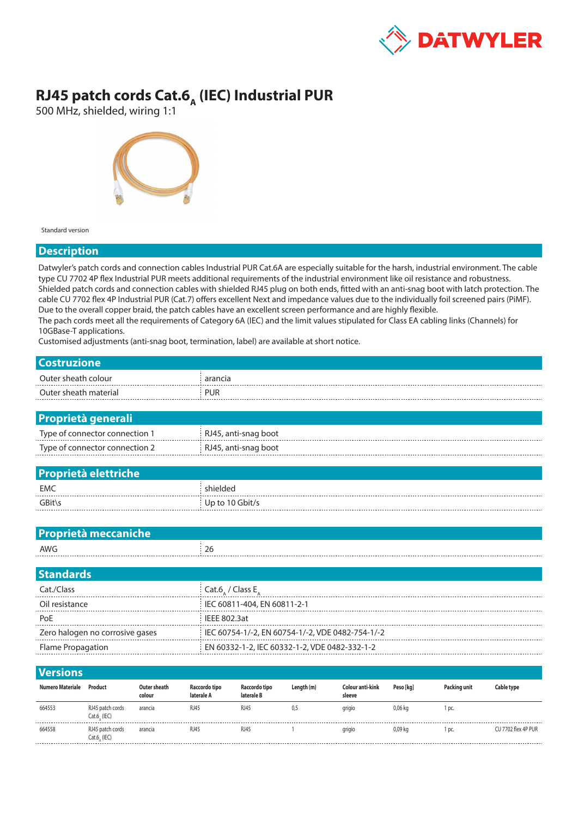

## **RJ45 patch cords Cat.6<sub>A</sub> (IEC) Industrial PUR**

500 MHz, shielded, wiring 1:1



Standard version

## **Description**

Datwyler's patch cords and connection cables Industrial PUR Cat.6A are especially suitable for the harsh, industrial environment. The cable type CU 7702 4P flex Industrial PUR meets additional requirements of the industrial environment like oil resistance and robustness. Shielded patch cords and connection cables with shielded RJ45 plug on both ends, fitted with an anti-snag boot with latch protection. The cable CU 7702 flex 4P Industrial PUR (Cat.7) offers excellent Next and impedance values due to the individually foil screened pairs (PiMF). Due to the overall copper braid, the patch cables have an excellent screen performance and are highly flexible. The pach cords meet all the requirements of Category 6A (IEC) and the limit values stipulated for Class EA cabling links (Channels) for 10GBase-T applications.

Customised adjustments (anti-snag boot, termination, label) are available at short notice.

| <b>Costruzione</b>                       |                                                                                                                    |  |  |  |  |  |  |  |  |
|------------------------------------------|--------------------------------------------------------------------------------------------------------------------|--|--|--|--|--|--|--|--|
| Outer sheath colour                      | arancia                                                                                                            |  |  |  |  |  |  |  |  |
| Outer sheath material                    | <b>PUR</b>                                                                                                         |  |  |  |  |  |  |  |  |
|                                          |                                                                                                                    |  |  |  |  |  |  |  |  |
| <b>Proprietà generali</b>                |                                                                                                                    |  |  |  |  |  |  |  |  |
| Type of connector connection 1           | RJ45, anti-snag boot                                                                                               |  |  |  |  |  |  |  |  |
| Type of connector connection 2           | RJ45, anti-snag boot                                                                                               |  |  |  |  |  |  |  |  |
|                                          |                                                                                                                    |  |  |  |  |  |  |  |  |
| <b>Proprietà elettriche</b>              |                                                                                                                    |  |  |  |  |  |  |  |  |
| <b>EMC</b>                               | shielded                                                                                                           |  |  |  |  |  |  |  |  |
| GBit\s                                   | Up to 10 Gbit/s                                                                                                    |  |  |  |  |  |  |  |  |
|                                          |                                                                                                                    |  |  |  |  |  |  |  |  |
| Proprietà meccaniche                     |                                                                                                                    |  |  |  |  |  |  |  |  |
| <b>AWG</b>                               | 26                                                                                                                 |  |  |  |  |  |  |  |  |
|                                          |                                                                                                                    |  |  |  |  |  |  |  |  |
| <b>Standards</b>                         |                                                                                                                    |  |  |  |  |  |  |  |  |
| Cat./Class                               | Cat.6 / Class $E_A$                                                                                                |  |  |  |  |  |  |  |  |
| Oil resistance                           | IEC 60811-404, EN 60811-2-1                                                                                        |  |  |  |  |  |  |  |  |
| PoE                                      | <b>IEEE 802.3at</b>                                                                                                |  |  |  |  |  |  |  |  |
| Zero halogen no corrosive gases          | IEC 60754-1/-2, EN 60754-1/-2, VDE 0482-754-1/-2                                                                   |  |  |  |  |  |  |  |  |
| Flame Propagation                        | EN 60332-1-2, IEC 60332-1-2, VDE 0482-332-1-2                                                                      |  |  |  |  |  |  |  |  |
|                                          |                                                                                                                    |  |  |  |  |  |  |  |  |
| <b>Versions</b>                          |                                                                                                                    |  |  |  |  |  |  |  |  |
| Numero Materiale Product<br>Outer sheath | Raccordo tipo<br>Length (m)<br>Colour anti-kink<br>Peso [kg]<br>Packing unit<br><b>Cable type</b><br>Raccordo tipo |  |  |  |  |  |  |  |  |

| <b>Numero Materiale</b> | Product                               | Outer sheath<br>colour | Raccordo tipo<br>laterale A | Raccordo tipo<br>laterale B | Length (m) | Colour anti-kink<br>sleeve | Peso [kg] | Packing unit | Cable type          |
|-------------------------|---------------------------------------|------------------------|-----------------------------|-----------------------------|------------|----------------------------|-----------|--------------|---------------------|
| 664553                  | RJ45 patch cords<br>$Cat.6$ , $(IEC)$ | arancia                | <b>RJ45</b>                 | RJ45                        | 0,5        | grigio                     | 0,06 kg   | DC.          |                     |
| 664558                  | RJ45 patch cords<br>Cat.6, (IEC)      | arancia                | <b>RJ45</b>                 | RJ45                        |            | grigio                     | 0,09 kg   | DC.          | CU 7702 flex 4P PUR |